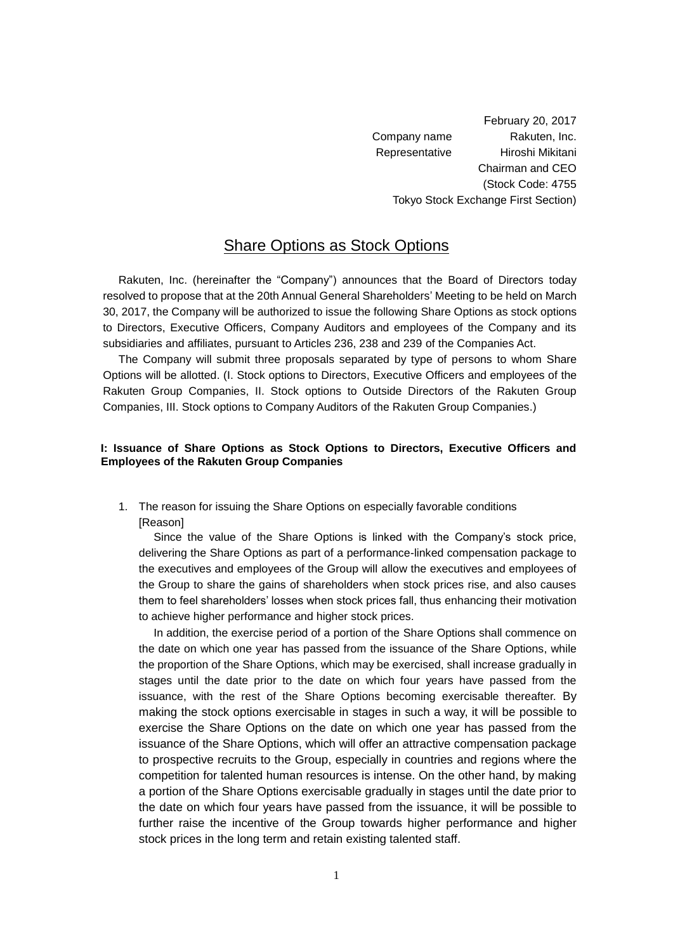February 20, 2017 Company name Rakuten, Inc. Representative Hiroshi Mikitani Chairman and CEO (Stock Code: 4755 Tokyo Stock Exchange First Section)

# Share Options as Stock Options

Rakuten, Inc. (hereinafter the "Company") announces that the Board of Directors today resolved to propose that at the 20th Annual General Shareholders' Meeting to be held on March 30, 2017, the Company will be authorized to issue the following Share Options as stock options to Directors, Executive Officers, Company Auditors and employees of the Company and its subsidiaries and affiliates, pursuant to Articles 236, 238 and 239 of the Companies Act.

The Company will submit three proposals separated by type of persons to whom Share Options will be allotted. (I. Stock options to Directors, Executive Officers and employees of the Rakuten Group Companies, II. Stock options to Outside Directors of the Rakuten Group Companies, III. Stock options to Company Auditors of the Rakuten Group Companies.)

## **I: Issuance of Share Options as Stock Options to Directors, Executive Officers and Employees of the Rakuten Group Companies**

1. The reason for issuing the Share Options on especially favorable conditions [Reason]

Since the value of the Share Options is linked with the Company's stock price, delivering the Share Options as part of a performance-linked compensation package to the executives and employees of the Group will allow the executives and employees of the Group to share the gains of shareholders when stock prices rise, and also causes them to feel shareholders' losses when stock prices fall, thus enhancing their motivation to achieve higher performance and higher stock prices.

In addition, the exercise period of a portion of the Share Options shall commence on the date on which one year has passed from the issuance of the Share Options, while the proportion of the Share Options, which may be exercised, shall increase gradually in stages until the date prior to the date on which four years have passed from the issuance, with the rest of the Share Options becoming exercisable thereafter. By making the stock options exercisable in stages in such a way, it will be possible to exercise the Share Options on the date on which one year has passed from the issuance of the Share Options, which will offer an attractive compensation package to prospective recruits to the Group, especially in countries and regions where the competition for talented human resources is intense. On the other hand, by making a portion of the Share Options exercisable gradually in stages until the date prior to the date on which four years have passed from the issuance, it will be possible to further raise the incentive of the Group towards higher performance and higher stock prices in the long term and retain existing talented staff.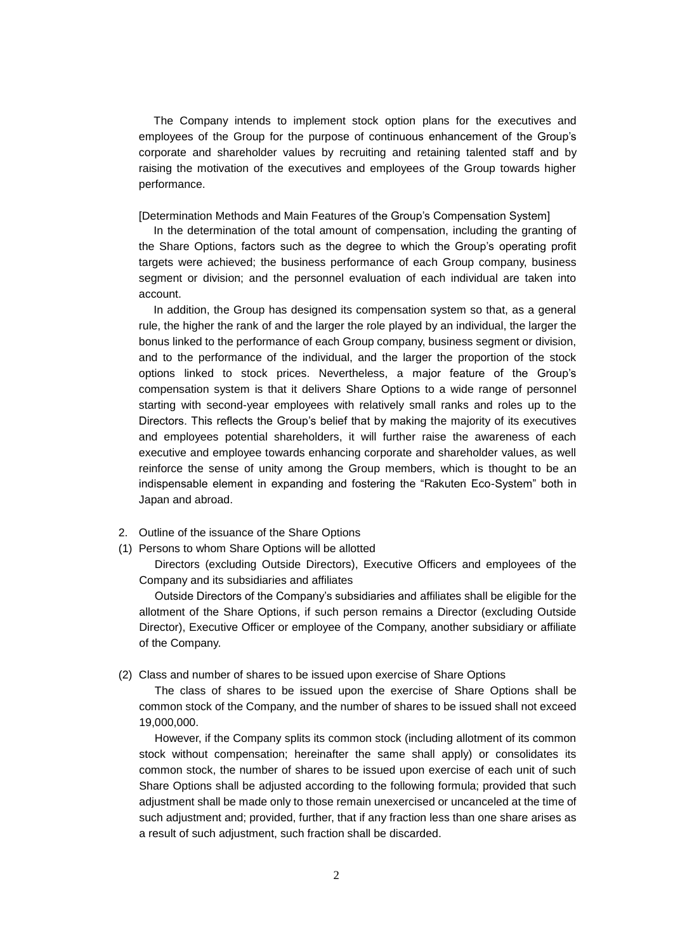The Company intends to implement stock option plans for the executives and employees of the Group for the purpose of continuous enhancement of the Group's corporate and shareholder values by recruiting and retaining talented staff and by raising the motivation of the executives and employees of the Group towards higher performance.

[Determination Methods and Main Features of the Group's Compensation System]

In the determination of the total amount of compensation, including the granting of the Share Options, factors such as the degree to which the Group's operating profit targets were achieved; the business performance of each Group company, business segment or division; and the personnel evaluation of each individual are taken into account.

In addition, the Group has designed its compensation system so that, as a general rule, the higher the rank of and the larger the role played by an individual, the larger the bonus linked to the performance of each Group company, business segment or division, and to the performance of the individual, and the larger the proportion of the stock options linked to stock prices. Nevertheless, a major feature of the Group's compensation system is that it delivers Share Options to a wide range of personnel starting with second-year employees with relatively small ranks and roles up to the Directors. This reflects the Group's belief that by making the majority of its executives and employees potential shareholders, it will further raise the awareness of each executive and employee towards enhancing corporate and shareholder values, as well reinforce the sense of unity among the Group members, which is thought to be an indispensable element in expanding and fostering the "Rakuten Eco-System" both in Japan and abroad.

- 2. Outline of the issuance of the Share Options
- (1) Persons to whom Share Options will be allotted

Directors (excluding Outside Directors), Executive Officers and employees of the Company and its subsidiaries and affiliates

Outside Directors of the Company's subsidiaries and affiliates shall be eligible for the allotment of the Share Options, if such person remains a Director (excluding Outside Director), Executive Officer or employee of the Company, another subsidiary or affiliate of the Company.

#### (2) Class and number of shares to be issued upon exercise of Share Options

The class of shares to be issued upon the exercise of Share Options shall be common stock of the Company, and the number of shares to be issued shall not exceed 19,000,000.

However, if the Company splits its common stock (including allotment of its common stock without compensation; hereinafter the same shall apply) or consolidates its common stock, the number of shares to be issued upon exercise of each unit of such Share Options shall be adjusted according to the following formula; provided that such adjustment shall be made only to those remain unexercised or uncanceled at the time of such adjustment and; provided, further, that if any fraction less than one share arises as a result of such adjustment, such fraction shall be discarded.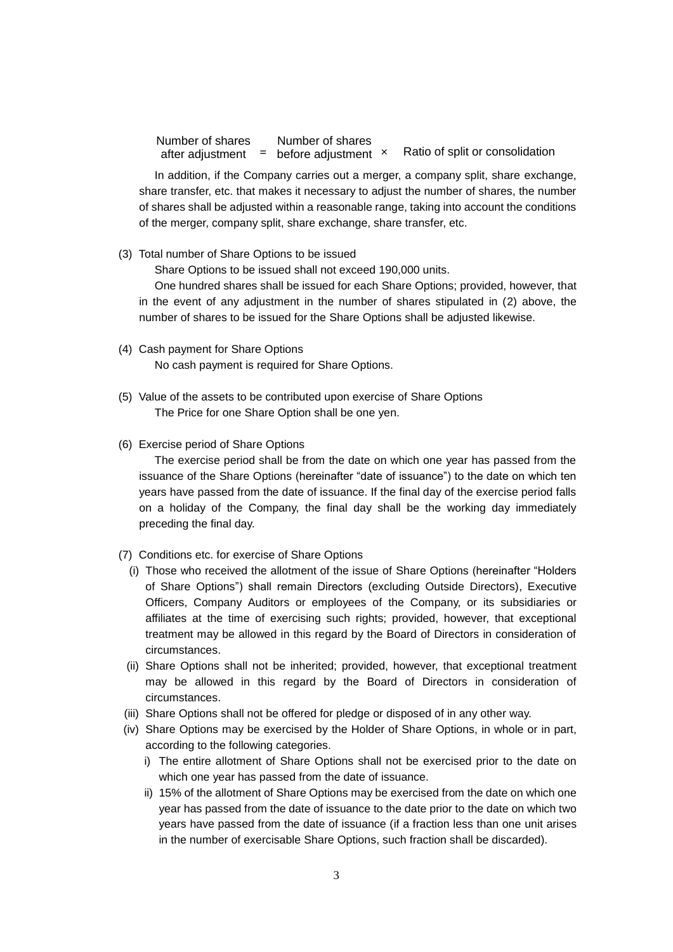Number of shares after adjustment **=** before adjustment Number of shares

Ratio of split or consolidation

In addition, if the Company carries out a merger, a company split, share exchange, share transfer, etc. that makes it necessary to adjust the number of shares, the number of shares shall be adjusted within a reasonable range, taking into account the conditions of the merger, company split, share exchange, share transfer, etc.

(3) Total number of Share Options to be issued

Share Options to be issued shall not exceed 190,000 units.

One hundred shares shall be issued for each Share Options; provided, however, that in the event of any adjustment in the number of shares stipulated in (2) above, the number of shares to be issued for the Share Options shall be adjusted likewise.

- (4) Cash payment for Share Options No cash payment is required for Share Options.
- (5) Value of the assets to be contributed upon exercise of Share Options The Price for one Share Option shall be one yen.
- (6) Exercise period of Share Options

The exercise period shall be from the date on which one year has passed from the issuance of the Share Options (hereinafter "date of issuance") to the date on which ten years have passed from the date of issuance. If the final day of the exercise period falls on a holiday of the Company, the final day shall be the working day immediately preceding the final day.

- (7) Conditions etc. for exercise of Share Options
	- (i) Those who received the allotment of the issue of Share Options (hereinafter "Holders of Share Options") shall remain Directors (excluding Outside Directors), Executive Officers, Company Auditors or employees of the Company, or its subsidiaries or affiliates at the time of exercising such rights; provided, however, that exceptional treatment may be allowed in this regard by the Board of Directors in consideration of circumstances.
	- (ii) Share Options shall not be inherited; provided, however, that exceptional treatment may be allowed in this regard by the Board of Directors in consideration of circumstances.
- (iii) Share Options shall not be offered for pledge or disposed of in any other way.
- (iv) Share Options may be exercised by the Holder of Share Options, in whole or in part, according to the following categories.
	- i) The entire allotment of Share Options shall not be exercised prior to the date on which one year has passed from the date of issuance.
	- ii) 15% of the allotment of Share Options may be exercised from the date on which one year has passed from the date of issuance to the date prior to the date on which two years have passed from the date of issuance (if a fraction less than one unit arises in the number of exercisable Share Options, such fraction shall be discarded).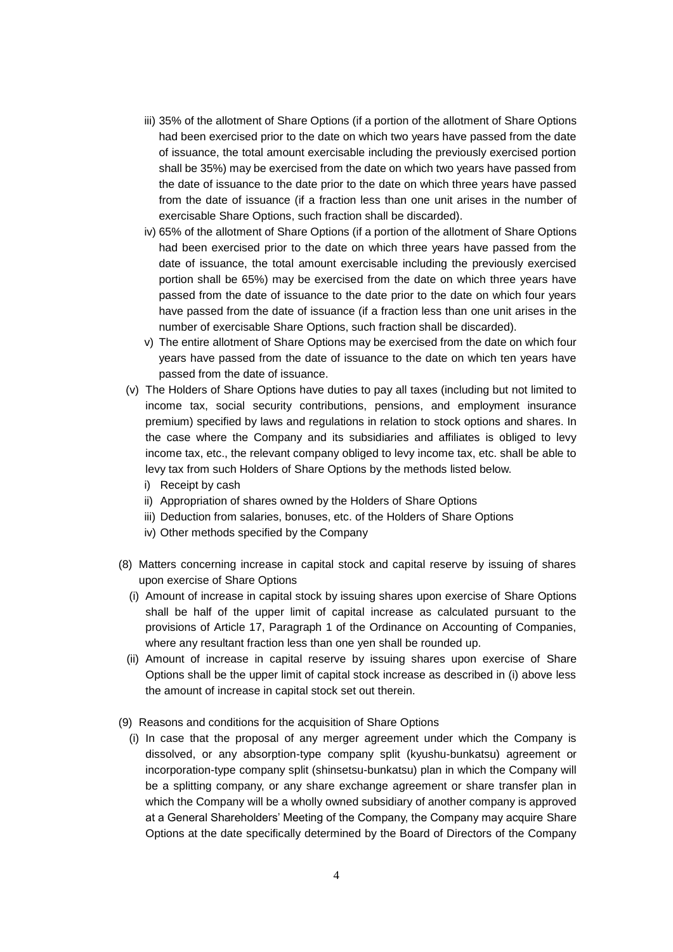- iii) 35% of the allotment of Share Options (if a portion of the allotment of Share Options had been exercised prior to the date on which two years have passed from the date of issuance, the total amount exercisable including the previously exercised portion shall be 35%) may be exercised from the date on which two years have passed from the date of issuance to the date prior to the date on which three years have passed from the date of issuance (if a fraction less than one unit arises in the number of exercisable Share Options, such fraction shall be discarded).
- iv) 65% of the allotment of Share Options (if a portion of the allotment of Share Options had been exercised prior to the date on which three years have passed from the date of issuance, the total amount exercisable including the previously exercised portion shall be 65%) may be exercised from the date on which three years have passed from the date of issuance to the date prior to the date on which four years have passed from the date of issuance (if a fraction less than one unit arises in the number of exercisable Share Options, such fraction shall be discarded).
- v) The entire allotment of Share Options may be exercised from the date on which four years have passed from the date of issuance to the date on which ten years have passed from the date of issuance.
- (v) The Holders of Share Options have duties to pay all taxes (including but not limited to income tax, social security contributions, pensions, and employment insurance premium) specified by laws and regulations in relation to stock options and shares. In the case where the Company and its subsidiaries and affiliates is obliged to levy income tax, etc., the relevant company obliged to levy income tax, etc. shall be able to levy tax from such Holders of Share Options by the methods listed below.
	- i) Receipt by cash
	- ii) Appropriation of shares owned by the Holders of Share Options
	- iii) Deduction from salaries, bonuses, etc. of the Holders of Share Options
	- iv) Other methods specified by the Company
- (8) Matters concerning increase in capital stock and capital reserve by issuing of shares upon exercise of Share Options
	- (i) Amount of increase in capital stock by issuing shares upon exercise of Share Options shall be half of the upper limit of capital increase as calculated pursuant to the provisions of Article 17, Paragraph 1 of the Ordinance on Accounting of Companies, where any resultant fraction less than one yen shall be rounded up.
	- (ii) Amount of increase in capital reserve by issuing shares upon exercise of Share Options shall be the upper limit of capital stock increase as described in (i) above less the amount of increase in capital stock set out therein.
- (9) Reasons and conditions for the acquisition of Share Options
	- (i) In case that the proposal of any merger agreement under which the Company is dissolved, or any absorption-type company split (kyushu-bunkatsu) agreement or incorporation-type company split (shinsetsu-bunkatsu) plan in which the Company will be a splitting company, or any share exchange agreement or share transfer plan in which the Company will be a wholly owned subsidiary of another company is approved at a General Shareholders' Meeting of the Company, the Company may acquire Share Options at the date specifically determined by the Board of Directors of the Company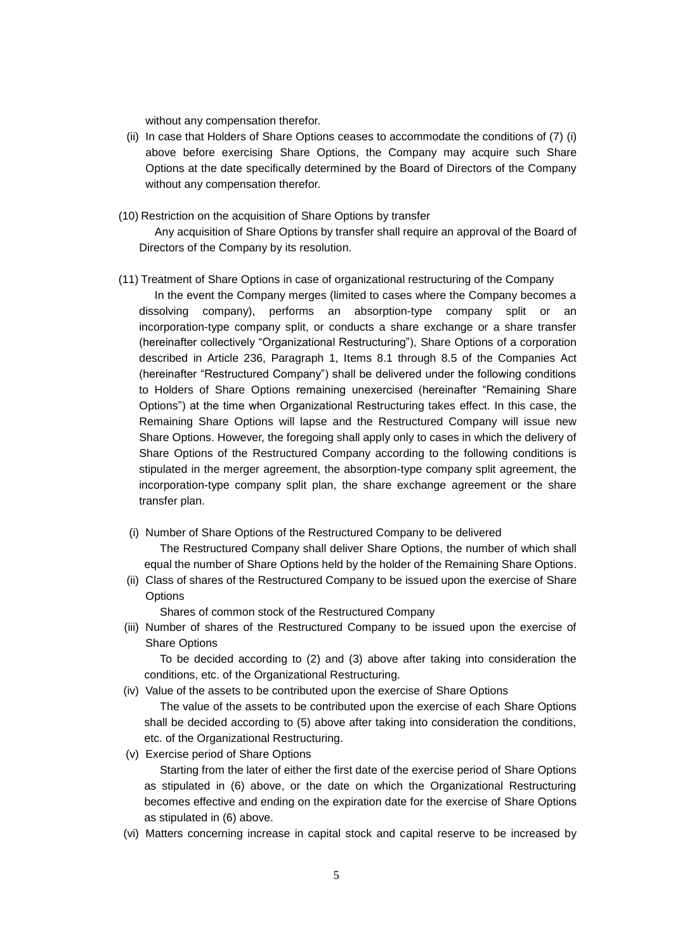without any compensation therefor.

- (ii) In case that Holders of Share Options ceases to accommodate the conditions of (7) (i) above before exercising Share Options, the Company may acquire such Share Options at the date specifically determined by the Board of Directors of the Company without any compensation therefor.
- (10) Restriction on the acquisition of Share Options by transfer

Any acquisition of Share Options by transfer shall require an approval of the Board of Directors of the Company by its resolution.

#### (11) Treatment of Share Options in case of organizational restructuring of the Company

In the event the Company merges (limited to cases where the Company becomes a dissolving company), performs an absorption-type company split or an incorporation-type company split, or conducts a share exchange or a share transfer (hereinafter collectively "Organizational Restructuring"), Share Options of a corporation described in Article 236, Paragraph 1, Items 8.1 through 8.5 of the Companies Act (hereinafter "Restructured Company") shall be delivered under the following conditions to Holders of Share Options remaining unexercised (hereinafter "Remaining Share Options") at the time when Organizational Restructuring takes effect. In this case, the Remaining Share Options will lapse and the Restructured Company will issue new Share Options. However, the foregoing shall apply only to cases in which the delivery of Share Options of the Restructured Company according to the following conditions is stipulated in the merger agreement, the absorption-type company split agreement, the incorporation-type company split plan, the share exchange agreement or the share transfer plan.

(i) Number of Share Options of the Restructured Company to be delivered

The Restructured Company shall deliver Share Options, the number of which shall equal the number of Share Options held by the holder of the Remaining Share Options.

(ii) Class of shares of the Restructured Company to be issued upon the exercise of Share **Options** 

Shares of common stock of the Restructured Company

(iii) Number of shares of the Restructured Company to be issued upon the exercise of Share Options

To be decided according to (2) and (3) above after taking into consideration the conditions, etc. of the Organizational Restructuring.

(iv) Value of the assets to be contributed upon the exercise of Share Options

The value of the assets to be contributed upon the exercise of each Share Options shall be decided according to (5) above after taking into consideration the conditions, etc. of the Organizational Restructuring.

(v) Exercise period of Share Options

Starting from the later of either the first date of the exercise period of Share Options as stipulated in (6) above, or the date on which the Organizational Restructuring becomes effective and ending on the expiration date for the exercise of Share Options as stipulated in (6) above.

(vi) Matters concerning increase in capital stock and capital reserve to be increased by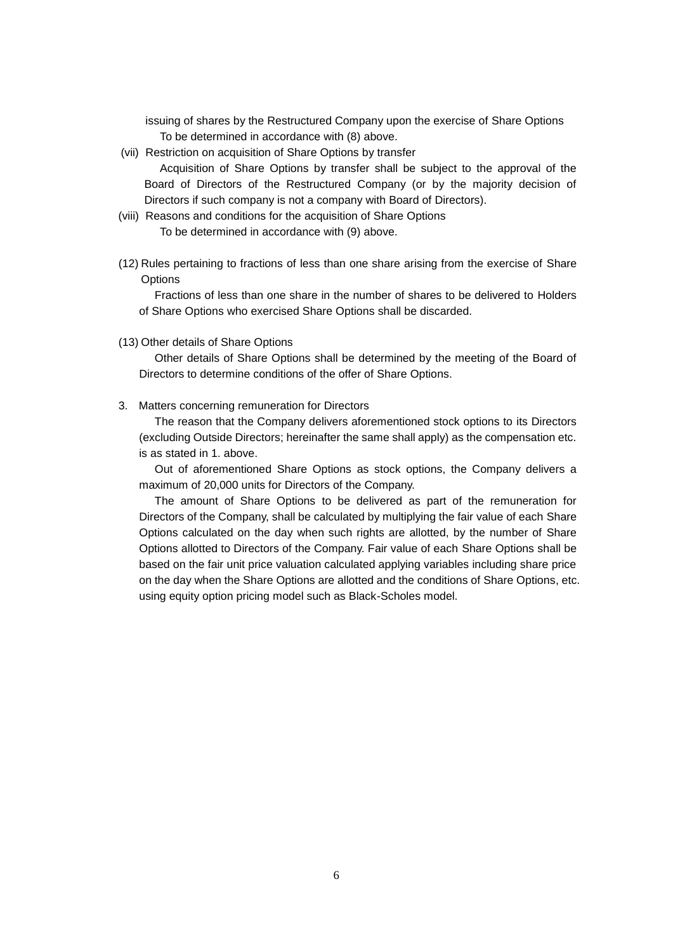issuing of shares by the Restructured Company upon the exercise of Share Options To be determined in accordance with (8) above.

(vii) Restriction on acquisition of Share Options by transfer

Acquisition of Share Options by transfer shall be subject to the approval of the Board of Directors of the Restructured Company (or by the majority decision of Directors if such company is not a company with Board of Directors).

- (viii) Reasons and conditions for the acquisition of Share Options To be determined in accordance with (9) above.
- (12) Rules pertaining to fractions of less than one share arising from the exercise of Share **Options**

Fractions of less than one share in the number of shares to be delivered to Holders of Share Options who exercised Share Options shall be discarded.

(13) Other details of Share Options

Other details of Share Options shall be determined by the meeting of the Board of Directors to determine conditions of the offer of Share Options.

3. Matters concerning remuneration for Directors

The reason that the Company delivers aforementioned stock options to its Directors (excluding Outside Directors; hereinafter the same shall apply) as the compensation etc. is as stated in 1. above.

Out of aforementioned Share Options as stock options, the Company delivers a maximum of 20,000 units for Directors of the Company.

The amount of Share Options to be delivered as part of the remuneration for Directors of the Company, shall be calculated by multiplying the fair value of each Share Options calculated on the day when such rights are allotted, by the number of Share Options allotted to Directors of the Company. Fair value of each Share Options shall be based on the fair unit price valuation calculated applying variables including share price on the day when the Share Options are allotted and the conditions of Share Options, etc. using equity option pricing model such as Black-Scholes model.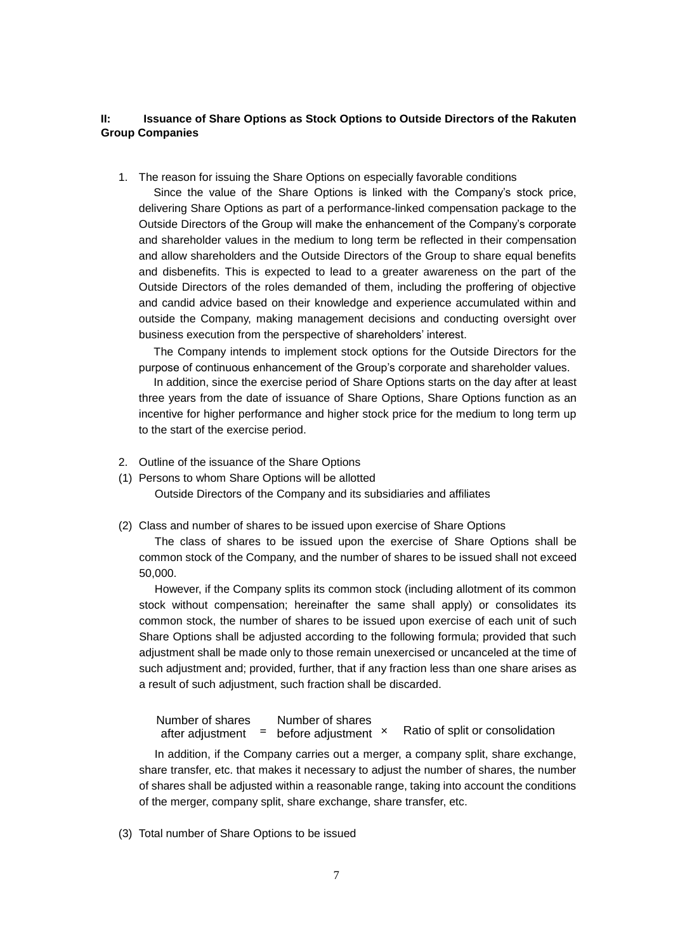## **II: Issuance of Share Options as Stock Options to Outside Directors of the Rakuten Group Companies**

1. The reason for issuing the Share Options on especially favorable conditions

Since the value of the Share Options is linked with the Company's stock price, delivering Share Options as part of a performance-linked compensation package to the Outside Directors of the Group will make the enhancement of the Company's corporate and shareholder values in the medium to long term be reflected in their compensation and allow shareholders and the Outside Directors of the Group to share equal benefits and disbenefits. This is expected to lead to a greater awareness on the part of the Outside Directors of the roles demanded of them, including the proffering of objective and candid advice based on their knowledge and experience accumulated within and outside the Company, making management decisions and conducting oversight over business execution from the perspective of shareholders' interest.

The Company intends to implement stock options for the Outside Directors for the purpose of continuous enhancement of the Group's corporate and shareholder values.

In addition, since the exercise period of Share Options starts on the day after at least three years from the date of issuance of Share Options, Share Options function as an incentive for higher performance and higher stock price for the medium to long term up to the start of the exercise period.

- 2. Outline of the issuance of the Share Options
- (1) Persons to whom Share Options will be allotted

Outside Directors of the Company and its subsidiaries and affiliates

(2) Class and number of shares to be issued upon exercise of Share Options

The class of shares to be issued upon the exercise of Share Options shall be common stock of the Company, and the number of shares to be issued shall not exceed 50,000.

However, if the Company splits its common stock (including allotment of its common stock without compensation; hereinafter the same shall apply) or consolidates its common stock, the number of shares to be issued upon exercise of each unit of such Share Options shall be adjusted according to the following formula; provided that such adjustment shall be made only to those remain unexercised or uncanceled at the time of such adjustment and; provided, further, that if any fraction less than one share arises as a result of such adjustment, such fraction shall be discarded.

Ratio of split or consolidation Number of shares after adjustment **=** before adjustment Number of shares

In addition, if the Company carries out a merger, a company split, share exchange, share transfer, etc. that makes it necessary to adjust the number of shares, the number of shares shall be adjusted within a reasonable range, taking into account the conditions of the merger, company split, share exchange, share transfer, etc.

(3) Total number of Share Options to be issued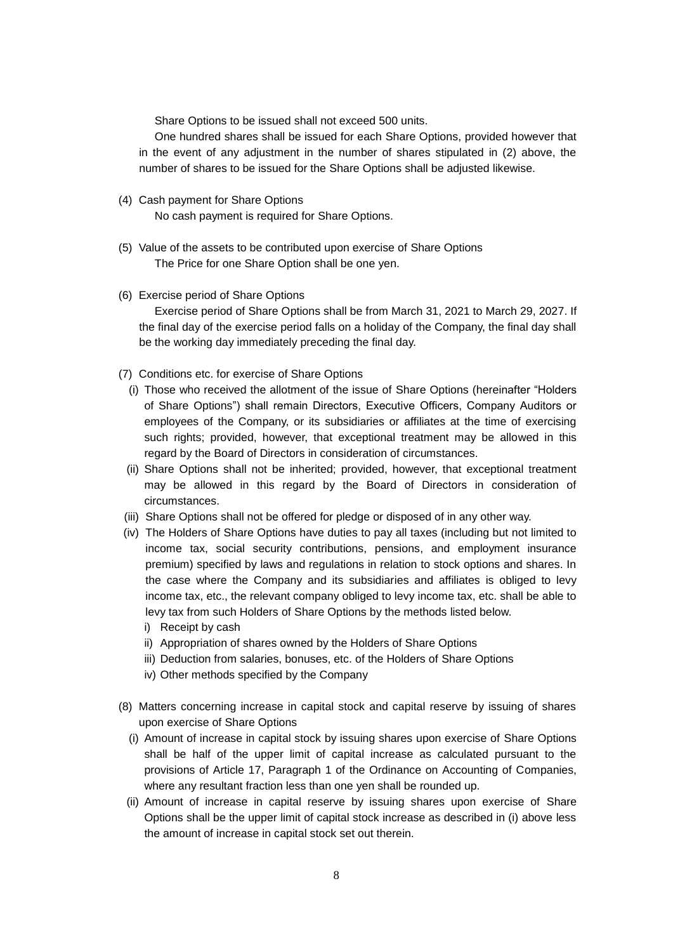Share Options to be issued shall not exceed 500 units.

One hundred shares shall be issued for each Share Options, provided however that in the event of any adjustment in the number of shares stipulated in (2) above, the number of shares to be issued for the Share Options shall be adjusted likewise.

- (4) Cash payment for Share Options No cash payment is required for Share Options.
- (5) Value of the assets to be contributed upon exercise of Share Options The Price for one Share Option shall be one yen.
- (6) Exercise period of Share Options Exercise period of Share Options shall be from March 31, 2021 to March 29, 2027. If the final day of the exercise period falls on a holiday of the Company, the final day shall be the working day immediately preceding the final day.
- (7) Conditions etc. for exercise of Share Options
	- (i) Those who received the allotment of the issue of Share Options (hereinafter "Holders of Share Options") shall remain Directors, Executive Officers, Company Auditors or employees of the Company, or its subsidiaries or affiliates at the time of exercising such rights; provided, however, that exceptional treatment may be allowed in this regard by the Board of Directors in consideration of circumstances.
	- (ii) Share Options shall not be inherited; provided, however, that exceptional treatment may be allowed in this regard by the Board of Directors in consideration of circumstances.
- (iii) Share Options shall not be offered for pledge or disposed of in any other way.
- (iv) The Holders of Share Options have duties to pay all taxes (including but not limited to income tax, social security contributions, pensions, and employment insurance premium) specified by laws and regulations in relation to stock options and shares. In the case where the Company and its subsidiaries and affiliates is obliged to levy income tax, etc., the relevant company obliged to levy income tax, etc. shall be able to levy tax from such Holders of Share Options by the methods listed below.
	- i) Receipt by cash
	- ii) Appropriation of shares owned by the Holders of Share Options
	- iii) Deduction from salaries, bonuses, etc. of the Holders of Share Options
	- iv) Other methods specified by the Company
- (8) Matters concerning increase in capital stock and capital reserve by issuing of shares upon exercise of Share Options
	- (i) Amount of increase in capital stock by issuing shares upon exercise of Share Options shall be half of the upper limit of capital increase as calculated pursuant to the provisions of Article 17, Paragraph 1 of the Ordinance on Accounting of Companies, where any resultant fraction less than one yen shall be rounded up.
	- (ii) Amount of increase in capital reserve by issuing shares upon exercise of Share Options shall be the upper limit of capital stock increase as described in (i) above less the amount of increase in capital stock set out therein.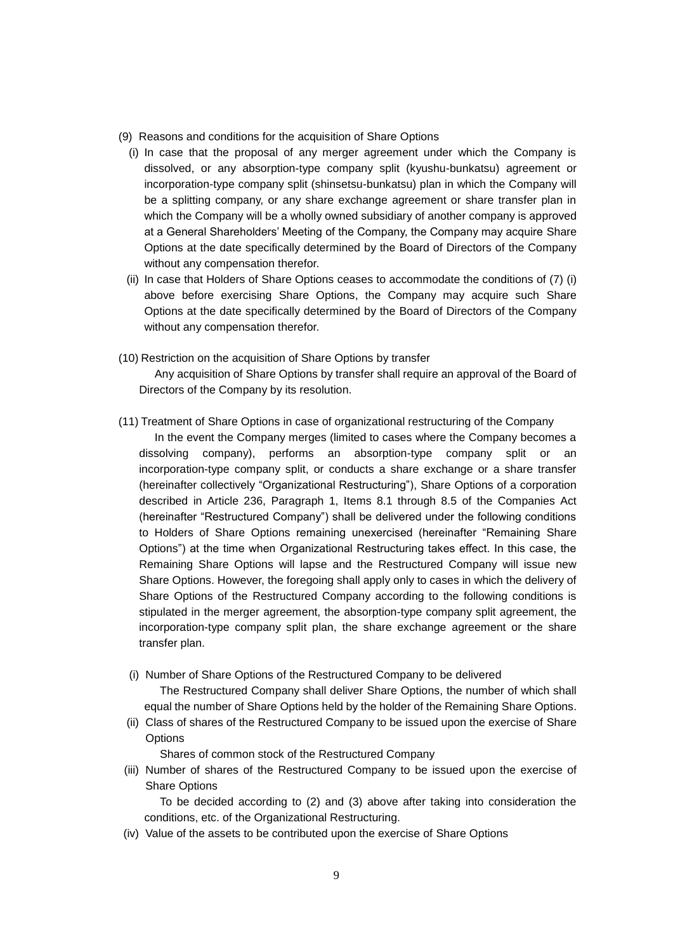- (9) Reasons and conditions for the acquisition of Share Options
- (i) In case that the proposal of any merger agreement under which the Company is dissolved, or any absorption-type company split (kyushu-bunkatsu) agreement or incorporation-type company split (shinsetsu-bunkatsu) plan in which the Company will be a splitting company, or any share exchange agreement or share transfer plan in which the Company will be a wholly owned subsidiary of another company is approved at a General Shareholders' Meeting of the Company, the Company may acquire Share Options at the date specifically determined by the Board of Directors of the Company without any compensation therefor.
- (ii) In case that Holders of Share Options ceases to accommodate the conditions of (7) (i) above before exercising Share Options, the Company may acquire such Share Options at the date specifically determined by the Board of Directors of the Company without any compensation therefor.
- (10) Restriction on the acquisition of Share Options by transfer

Any acquisition of Share Options by transfer shall require an approval of the Board of Directors of the Company by its resolution.

- (11) Treatment of Share Options in case of organizational restructuring of the Company
	- In the event the Company merges (limited to cases where the Company becomes a dissolving company), performs an absorption-type company split or an incorporation-type company split, or conducts a share exchange or a share transfer (hereinafter collectively "Organizational Restructuring"), Share Options of a corporation described in Article 236, Paragraph 1, Items 8.1 through 8.5 of the Companies Act (hereinafter "Restructured Company") shall be delivered under the following conditions to Holders of Share Options remaining unexercised (hereinafter "Remaining Share Options") at the time when Organizational Restructuring takes effect. In this case, the Remaining Share Options will lapse and the Restructured Company will issue new Share Options. However, the foregoing shall apply only to cases in which the delivery of Share Options of the Restructured Company according to the following conditions is stipulated in the merger agreement, the absorption-type company split agreement, the incorporation-type company split plan, the share exchange agreement or the share transfer plan.
	- (i) Number of Share Options of the Restructured Company to be delivered The Restructured Company shall deliver Share Options, the number of which shall equal the number of Share Options held by the holder of the Remaining Share Options.
	- (ii) Class of shares of the Restructured Company to be issued upon the exercise of Share **Options**

Shares of common stock of the Restructured Company

(iii) Number of shares of the Restructured Company to be issued upon the exercise of Share Options

To be decided according to (2) and (3) above after taking into consideration the conditions, etc. of the Organizational Restructuring.

(iv) Value of the assets to be contributed upon the exercise of Share Options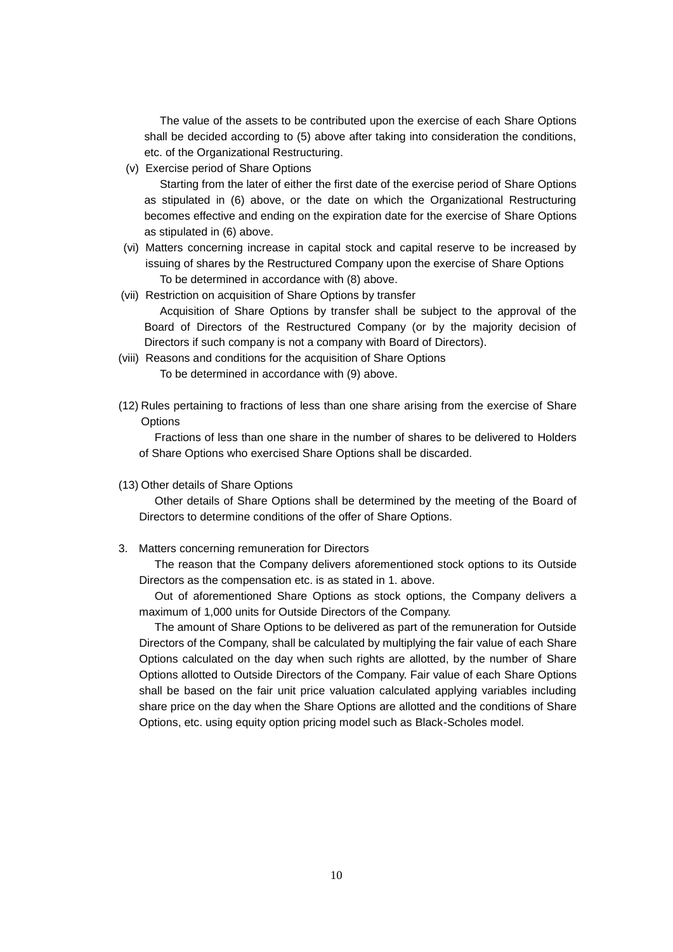The value of the assets to be contributed upon the exercise of each Share Options shall be decided according to (5) above after taking into consideration the conditions, etc. of the Organizational Restructuring.

(v) Exercise period of Share Options

Starting from the later of either the first date of the exercise period of Share Options as stipulated in (6) above, or the date on which the Organizational Restructuring becomes effective and ending on the expiration date for the exercise of Share Options as stipulated in (6) above.

- (vi) Matters concerning increase in capital stock and capital reserve to be increased by issuing of shares by the Restructured Company upon the exercise of Share Options To be determined in accordance with (8) above.
- (vii) Restriction on acquisition of Share Options by transfer

Acquisition of Share Options by transfer shall be subject to the approval of the Board of Directors of the Restructured Company (or by the majority decision of Directors if such company is not a company with Board of Directors).

- (viii) Reasons and conditions for the acquisition of Share Options To be determined in accordance with (9) above.
- (12) Rules pertaining to fractions of less than one share arising from the exercise of Share **Options**

Fractions of less than one share in the number of shares to be delivered to Holders of Share Options who exercised Share Options shall be discarded.

(13) Other details of Share Options

Other details of Share Options shall be determined by the meeting of the Board of Directors to determine conditions of the offer of Share Options.

3. Matters concerning remuneration for Directors

The reason that the Company delivers aforementioned stock options to its Outside Directors as the compensation etc. is as stated in 1. above.

Out of aforementioned Share Options as stock options, the Company delivers a maximum of 1,000 units for Outside Directors of the Company.

The amount of Share Options to be delivered as part of the remuneration for Outside Directors of the Company, shall be calculated by multiplying the fair value of each Share Options calculated on the day when such rights are allotted, by the number of Share Options allotted to Outside Directors of the Company. Fair value of each Share Options shall be based on the fair unit price valuation calculated applying variables including share price on the day when the Share Options are allotted and the conditions of Share Options, etc. using equity option pricing model such as Black-Scholes model.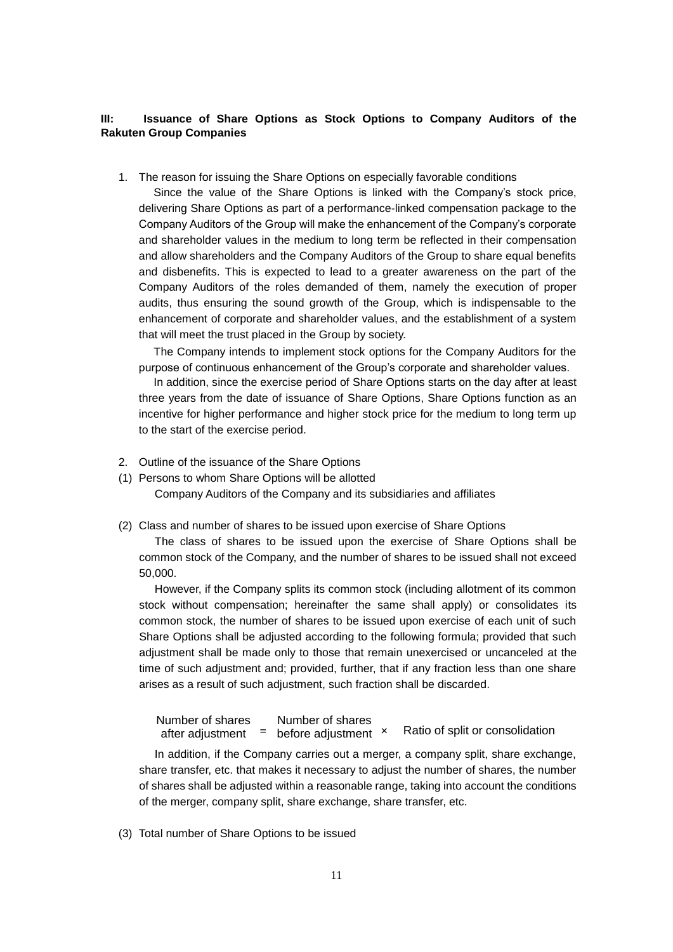## **III: Issuance of Share Options as Stock Options to Company Auditors of the Rakuten Group Companies**

1. The reason for issuing the Share Options on especially favorable conditions

Since the value of the Share Options is linked with the Company's stock price, delivering Share Options as part of a performance-linked compensation package to the Company Auditors of the Group will make the enhancement of the Company's corporate and shareholder values in the medium to long term be reflected in their compensation and allow shareholders and the Company Auditors of the Group to share equal benefits and disbenefits. This is expected to lead to a greater awareness on the part of the Company Auditors of the roles demanded of them, namely the execution of proper audits, thus ensuring the sound growth of the Group, which is indispensable to the enhancement of corporate and shareholder values, and the establishment of a system that will meet the trust placed in the Group by society.

The Company intends to implement stock options for the Company Auditors for the purpose of continuous enhancement of the Group's corporate and shareholder values.

In addition, since the exercise period of Share Options starts on the day after at least three years from the date of issuance of Share Options, Share Options function as an incentive for higher performance and higher stock price for the medium to long term up to the start of the exercise period.

- 2. Outline of the issuance of the Share Options
- (1) Persons to whom Share Options will be allotted

Company Auditors of the Company and its subsidiaries and affiliates

(2) Class and number of shares to be issued upon exercise of Share Options

The class of shares to be issued upon the exercise of Share Options shall be common stock of the Company, and the number of shares to be issued shall not exceed 50,000.

However, if the Company splits its common stock (including allotment of its common stock without compensation; hereinafter the same shall apply) or consolidates its common stock, the number of shares to be issued upon exercise of each unit of such Share Options shall be adjusted according to the following formula; provided that such adjustment shall be made only to those that remain unexercised or uncanceled at the time of such adjustment and; provided, further, that if any fraction less than one share arises as a result of such adjustment, such fraction shall be discarded.

Ratio of split or consolidation Number of shares after adjustment **=** before adjustment Number of shares

In addition, if the Company carries out a merger, a company split, share exchange, share transfer, etc. that makes it necessary to adjust the number of shares, the number of shares shall be adjusted within a reasonable range, taking into account the conditions of the merger, company split, share exchange, share transfer, etc.

(3) Total number of Share Options to be issued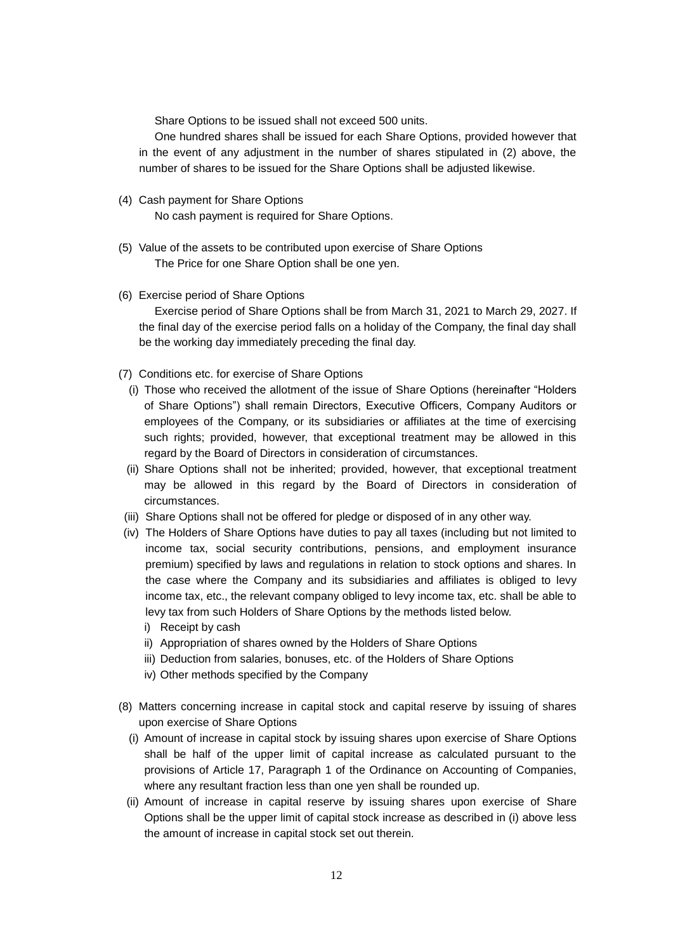Share Options to be issued shall not exceed 500 units.

One hundred shares shall be issued for each Share Options, provided however that in the event of any adjustment in the number of shares stipulated in (2) above, the number of shares to be issued for the Share Options shall be adjusted likewise.

- (4) Cash payment for Share Options No cash payment is required for Share Options.
- (5) Value of the assets to be contributed upon exercise of Share Options The Price for one Share Option shall be one yen.
- (6) Exercise period of Share Options Exercise period of Share Options shall be from March 31, 2021 to March 29, 2027. If the final day of the exercise period falls on a holiday of the Company, the final day shall be the working day immediately preceding the final day.
- (7) Conditions etc. for exercise of Share Options
	- (i) Those who received the allotment of the issue of Share Options (hereinafter "Holders of Share Options") shall remain Directors, Executive Officers, Company Auditors or employees of the Company, or its subsidiaries or affiliates at the time of exercising such rights; provided, however, that exceptional treatment may be allowed in this regard by the Board of Directors in consideration of circumstances.
	- (ii) Share Options shall not be inherited; provided, however, that exceptional treatment may be allowed in this regard by the Board of Directors in consideration of circumstances.
- (iii) Share Options shall not be offered for pledge or disposed of in any other way.
- (iv) The Holders of Share Options have duties to pay all taxes (including but not limited to income tax, social security contributions, pensions, and employment insurance premium) specified by laws and regulations in relation to stock options and shares. In the case where the Company and its subsidiaries and affiliates is obliged to levy income tax, etc., the relevant company obliged to levy income tax, etc. shall be able to levy tax from such Holders of Share Options by the methods listed below.
	- i) Receipt by cash
	- ii) Appropriation of shares owned by the Holders of Share Options
	- iii) Deduction from salaries, bonuses, etc. of the Holders of Share Options
	- iv) Other methods specified by the Company
- (8) Matters concerning increase in capital stock and capital reserve by issuing of shares upon exercise of Share Options
	- (i) Amount of increase in capital stock by issuing shares upon exercise of Share Options shall be half of the upper limit of capital increase as calculated pursuant to the provisions of Article 17, Paragraph 1 of the Ordinance on Accounting of Companies, where any resultant fraction less than one yen shall be rounded up.
	- (ii) Amount of increase in capital reserve by issuing shares upon exercise of Share Options shall be the upper limit of capital stock increase as described in (i) above less the amount of increase in capital stock set out therein.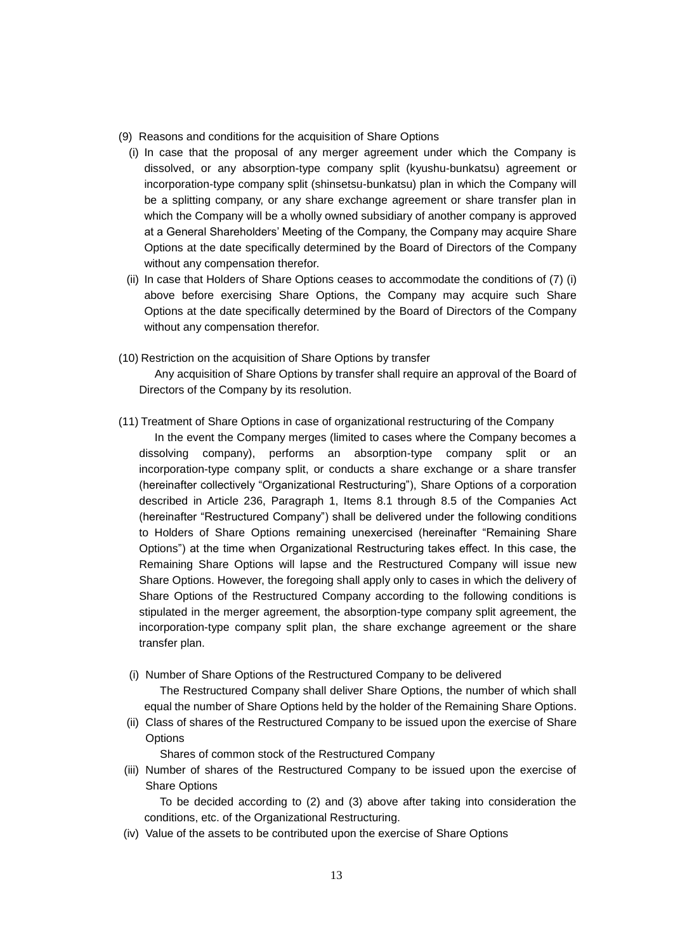- (9) Reasons and conditions for the acquisition of Share Options
- (i) In case that the proposal of any merger agreement under which the Company is dissolved, or any absorption-type company split (kyushu-bunkatsu) agreement or incorporation-type company split (shinsetsu-bunkatsu) plan in which the Company will be a splitting company, or any share exchange agreement or share transfer plan in which the Company will be a wholly owned subsidiary of another company is approved at a General Shareholders' Meeting of the Company, the Company may acquire Share Options at the date specifically determined by the Board of Directors of the Company without any compensation therefor.
- (ii) In case that Holders of Share Options ceases to accommodate the conditions of (7) (i) above before exercising Share Options, the Company may acquire such Share Options at the date specifically determined by the Board of Directors of the Company without any compensation therefor.
- (10) Restriction on the acquisition of Share Options by transfer

Any acquisition of Share Options by transfer shall require an approval of the Board of Directors of the Company by its resolution.

- (11) Treatment of Share Options in case of organizational restructuring of the Company
	- In the event the Company merges (limited to cases where the Company becomes a dissolving company), performs an absorption-type company split or an incorporation-type company split, or conducts a share exchange or a share transfer (hereinafter collectively "Organizational Restructuring"), Share Options of a corporation described in Article 236, Paragraph 1, Items 8.1 through 8.5 of the Companies Act (hereinafter "Restructured Company") shall be delivered under the following conditions to Holders of Share Options remaining unexercised (hereinafter "Remaining Share Options") at the time when Organizational Restructuring takes effect. In this case, the Remaining Share Options will lapse and the Restructured Company will issue new Share Options. However, the foregoing shall apply only to cases in which the delivery of Share Options of the Restructured Company according to the following conditions is stipulated in the merger agreement, the absorption-type company split agreement, the incorporation-type company split plan, the share exchange agreement or the share transfer plan.
	- (i) Number of Share Options of the Restructured Company to be delivered The Restructured Company shall deliver Share Options, the number of which shall equal the number of Share Options held by the holder of the Remaining Share Options.
	- (ii) Class of shares of the Restructured Company to be issued upon the exercise of Share **Options**

Shares of common stock of the Restructured Company

(iii) Number of shares of the Restructured Company to be issued upon the exercise of Share Options

To be decided according to (2) and (3) above after taking into consideration the conditions, etc. of the Organizational Restructuring.

(iv) Value of the assets to be contributed upon the exercise of Share Options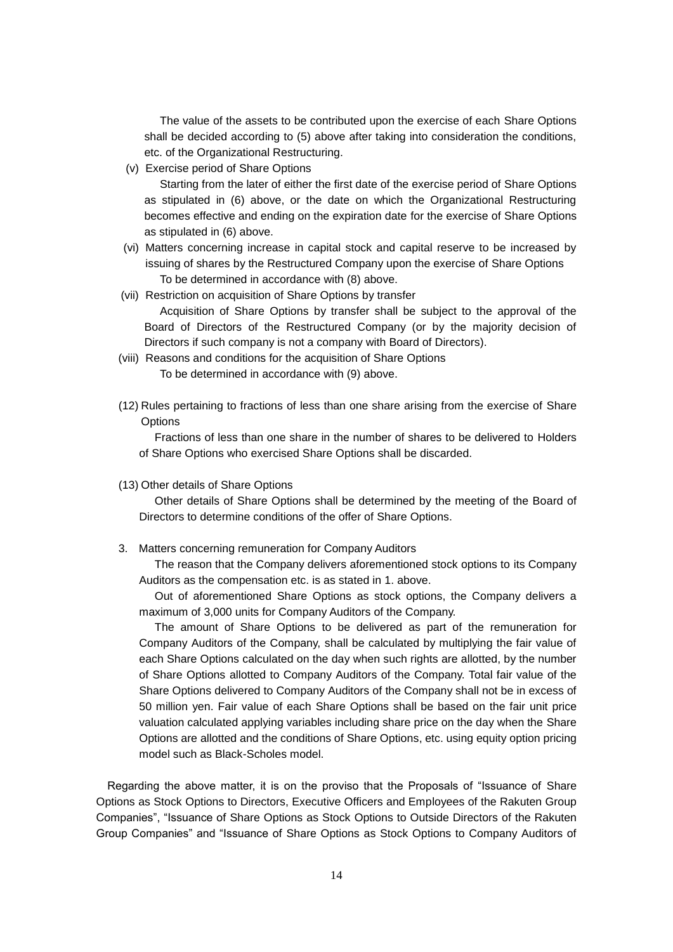The value of the assets to be contributed upon the exercise of each Share Options shall be decided according to (5) above after taking into consideration the conditions, etc. of the Organizational Restructuring.

(v) Exercise period of Share Options

Starting from the later of either the first date of the exercise period of Share Options as stipulated in (6) above, or the date on which the Organizational Restructuring becomes effective and ending on the expiration date for the exercise of Share Options as stipulated in (6) above.

- (vi) Matters concerning increase in capital stock and capital reserve to be increased by issuing of shares by the Restructured Company upon the exercise of Share Options To be determined in accordance with (8) above.
- (vii) Restriction on acquisition of Share Options by transfer

Acquisition of Share Options by transfer shall be subject to the approval of the Board of Directors of the Restructured Company (or by the majority decision of Directors if such company is not a company with Board of Directors).

- (viii) Reasons and conditions for the acquisition of Share Options To be determined in accordance with (9) above.
- (12) Rules pertaining to fractions of less than one share arising from the exercise of Share **Options**

Fractions of less than one share in the number of shares to be delivered to Holders of Share Options who exercised Share Options shall be discarded.

(13) Other details of Share Options

Other details of Share Options shall be determined by the meeting of the Board of Directors to determine conditions of the offer of Share Options.

3. Matters concerning remuneration for Company Auditors

The reason that the Company delivers aforementioned stock options to its Company Auditors as the compensation etc. is as stated in 1. above.

Out of aforementioned Share Options as stock options, the Company delivers a maximum of 3,000 units for Company Auditors of the Company.

The amount of Share Options to be delivered as part of the remuneration for Company Auditors of the Company, shall be calculated by multiplying the fair value of each Share Options calculated on the day when such rights are allotted, by the number of Share Options allotted to Company Auditors of the Company. Total fair value of the Share Options delivered to Company Auditors of the Company shall not be in excess of 50 million yen. Fair value of each Share Options shall be based on the fair unit price valuation calculated applying variables including share price on the day when the Share Options are allotted and the conditions of Share Options, etc. using equity option pricing model such as Black-Scholes model.

Regarding the above matter, it is on the proviso that the Proposals of "Issuance of Share Options as Stock Options to Directors, Executive Officers and Employees of the Rakuten Group Companies", "Issuance of Share Options as Stock Options to Outside Directors of the Rakuten Group Companies" and "Issuance of Share Options as Stock Options to Company Auditors of